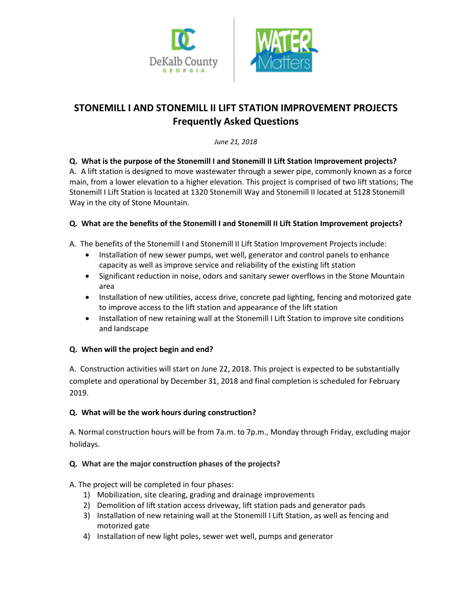



# **STONEMILL I AND STONEMILL II LIFT STATION IMPROVEMENT PROJECTS Frequently Asked Questions**

*June 21, 2018*

## **Q. What is the purpose of the Stonemill I and Stonemill II Lift Station Improvement projects?**

A. A lift station is designed to move wastewater through a sewer pipe, commonly known as a force main, from a lower elevation to a higher elevation. This project is comprised of two lift stations; The Stonemill I Lift Station is located at 1320 Stonemill Way and Stonemill II located at 5128 Stonemill Way in the city of Stone Mountain.

## **Q. What are the benefits of the Stonemill I and Stonemill II Lift Station Improvement projects?**

A. The benefits of the Stonemill I and Stonemill II Lift Station Improvement Projects include:

- Installation of new sewer pumps, wet well, generator and control panels to enhance capacity as well as improve service and reliability of the existing lift station
- Significant reduction in noise, odors and sanitary sewer overflows in the Stone Mountain area
- Installation of new utilities, access drive, concrete pad lighting, fencing and motorized gate to improve access to the lift station and appearance of the lift station
- Installation of new retaining wall at the Stonemill I Lift Station to improve site conditions and landscape

## **Q. When will the project begin and end?**

A. Construction activities will start on June 22, 2018. This project is expected to be substantially complete and operational by December 31, 2018 and final completion is scheduled for February 2019.

## **Q. What will be the work hours during construction?**

A. Normal construction hours will be from 7a.m. to 7p.m., Monday through Friday, excluding major holidays.

## **Q. What are the major construction phases of the projects?**

A. The project will be completed in four phases:

- 1) Mobilization, site clearing, grading and drainage improvements
- 2) Demolition of lift station access driveway, lift station pads and generator pads
- 3) Installation of new retaining wall at the Stonemill I Lift Station, as well as fencing and motorized gate
- 4) Installation of new light poles, sewer wet well, pumps and generator